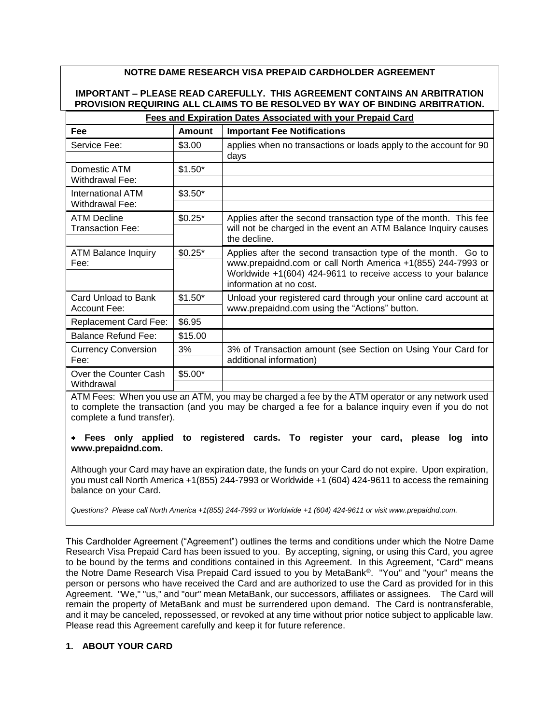# **NOTRE DAME RESEARCH VISA PREPAID CARDHOLDER AGREEMENT**

## **IMPORTANT – PLEASE READ CAREFULLY. THIS AGREEMENT CONTAINS AN ARBITRATION PROVISION REQUIRING ALL CLAIMS TO BE RESOLVED BY WAY OF BINDING ARBITRATION.**

| Fees and Expiration Dates Associated with your Prepaid Card |               |                                                                                                                             |  |  |
|-------------------------------------------------------------|---------------|-----------------------------------------------------------------------------------------------------------------------------|--|--|
| Fee                                                         | <b>Amount</b> | <b>Important Fee Notifications</b>                                                                                          |  |  |
| Service Fee:                                                | \$3.00        | applies when no transactions or loads apply to the account for 90                                                           |  |  |
|                                                             |               | days                                                                                                                        |  |  |
| Domestic ATM                                                | $$1.50*$      |                                                                                                                             |  |  |
| <b>Withdrawal Fee:</b>                                      |               |                                                                                                                             |  |  |
| International ATM                                           | $$3.50*$      |                                                                                                                             |  |  |
| Withdrawal Fee:                                             |               |                                                                                                                             |  |  |
| <b>ATM Decline</b>                                          | $$0.25*$      | Applies after the second transaction type of the month. This fee                                                            |  |  |
| <b>Transaction Fee:</b>                                     |               | will not be charged in the event an ATM Balance Inquiry causes                                                              |  |  |
|                                                             |               | the decline.                                                                                                                |  |  |
| <b>ATM Balance Inquiry</b>                                  | $$0.25*$      | Applies after the second transaction type of the month. Go to                                                               |  |  |
| Fee:                                                        |               | www.prepaidnd.com or call North America +1(855) 244-7993 or<br>Worldwide +1(604) 424-9611 to receive access to your balance |  |  |
|                                                             |               | information at no cost.                                                                                                     |  |  |
| Card Unload to Bank                                         | $$1.50*$      | Unload your registered card through your online card account at<br>www.prepaidnd.com using the "Actions" button.            |  |  |
| <b>Account Fee:</b>                                         |               |                                                                                                                             |  |  |
| <b>Replacement Card Fee:</b>                                | \$6.95        |                                                                                                                             |  |  |
| <b>Balance Refund Fee:</b>                                  | \$15.00       |                                                                                                                             |  |  |
| <b>Currency Conversion</b>                                  | 3%            | 3% of Transaction amount (see Section on Using Your Card for<br>additional information)                                     |  |  |
| Fee:                                                        |               |                                                                                                                             |  |  |
| Over the Counter Cash                                       | $$5.00*$      |                                                                                                                             |  |  |
| Withdrawal                                                  |               |                                                                                                                             |  |  |

ATM Fees: When you use an ATM, you may be charged a fee by the ATM operator or any network used to complete the transaction (and you may be charged a fee for a balance inquiry even if you do not complete a fund transfer).

### **Fees only applied to registered cards. To register your card, please log into www.prepaidnd.com.**

Although your Card may have an expiration date, the funds on your Card do not expire. Upon expiration, you must call North America +1(855) 244-7993 or Worldwide +1 (604) 424-9611 to access the remaining balance on your Card.

*Questions? Please call North America +1(855) 244-7993 or Worldwide +1 (604) 424-9611 or visit www.prepaidnd.com.*

This Cardholder Agreement ("Agreement") outlines the terms and conditions under which the Notre Dame Research Visa Prepaid Card has been issued to you. By accepting, signing, or using this Card, you agree to be bound by the terms and conditions contained in this Agreement. In this Agreement, "Card" means the Notre Dame Research Visa Prepaid Card issued to you by MetaBank®. "You" and "your" means the person or persons who have received the Card and are authorized to use the Card as provided for in this Agreement. "We," "us," and "our" mean MetaBank, our successors, affiliates or assignees. The Card will remain the property of MetaBank and must be surrendered upon demand. The Card is nontransferable, and it may be canceled, repossessed, or revoked at any time without prior notice subject to applicable law. Please read this Agreement carefully and keep it for future reference.

## **1. ABOUT YOUR CARD**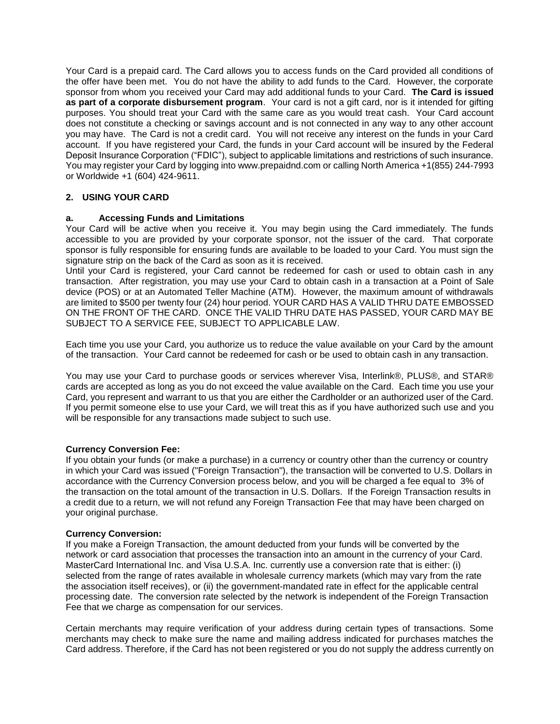Your Card is a prepaid card. The Card allows you to access funds on the Card provided all conditions of the offer have been met. You do not have the ability to add funds to the Card. However, the corporate sponsor from whom you received your Card may add additional funds to your Card. **The Card is issued as part of a corporate disbursement program**. Your card is not a gift card, nor is it intended for gifting purposes. You should treat your Card with the same care as you would treat cash. Your Card account does not constitute a checking or savings account and is not connected in any way to any other account you may have. The Card is not a credit card. You will not receive any interest on the funds in your Card account. If you have registered your Card, the funds in your Card account will be insured by the Federal Deposit Insurance Corporation ("FDIC"), subject to applicable limitations and restrictions of such insurance. You may register your Card by logging into www.prepaidnd.com or calling North America +1(855) 244-7993 or Worldwide +1 (604) 424-9611.

## **2. USING YOUR CARD**

### **a. Accessing Funds and Limitations**

Your Card will be active when you receive it. You may begin using the Card immediately. The funds accessible to you are provided by your corporate sponsor, not the issuer of the card. That corporate sponsor is fully responsible for ensuring funds are available to be loaded to your Card. You must sign the signature strip on the back of the Card as soon as it is received.

Until your Card is registered, your Card cannot be redeemed for cash or used to obtain cash in any transaction. After registration, you may use your Card to obtain cash in a transaction at a Point of Sale device (POS) or at an Automated Teller Machine (ATM). However, the maximum amount of withdrawals are limited to \$500 per twenty four (24) hour period. YOUR CARD HAS A VALID THRU DATE EMBOSSED ON THE FRONT OF THE CARD. ONCE THE VALID THRU DATE HAS PASSED, YOUR CARD MAY BE SUBJECT TO A SERVICE FEE, SUBJECT TO APPLICABLE LAW.

Each time you use your Card, you authorize us to reduce the value available on your Card by the amount of the transaction. Your Card cannot be redeemed for cash or be used to obtain cash in any transaction.

You may use your Card to purchase goods or services wherever Visa, Interlink®, PLUS®, and STAR® cards are accepted as long as you do not exceed the value available on the Card. Each time you use your Card, you represent and warrant to us that you are either the Cardholder or an authorized user of the Card. If you permit someone else to use your Card, we will treat this as if you have authorized such use and you will be responsible for any transactions made subject to such use.

### **Currency Conversion Fee:**

If you obtain your funds (or make a purchase) in a currency or country other than the currency or country in which your Card was issued ("Foreign Transaction"), the transaction will be converted to U.S. Dollars in accordance with the Currency Conversion process below, and you will be charged a fee equal to 3% of the transaction on the total amount of the transaction in U.S. Dollars. If the Foreign Transaction results in a credit due to a return, we will not refund any Foreign Transaction Fee that may have been charged on your original purchase.

### **Currency Conversion:**

If you make a Foreign Transaction, the amount deducted from your funds will be converted by the network or card association that processes the transaction into an amount in the currency of your Card. MasterCard International Inc. and Visa U.S.A. Inc. currently use a conversion rate that is either: (i) selected from the range of rates available in wholesale currency markets (which may vary from the rate the association itself receives), or (ii) the government-mandated rate in effect for the applicable central processing date. The conversion rate selected by the network is independent of the Foreign Transaction Fee that we charge as compensation for our services.

Certain merchants may require verification of your address during certain types of transactions. Some merchants may check to make sure the name and mailing address indicated for purchases matches the Card address. Therefore, if the Card has not been registered or you do not supply the address currently on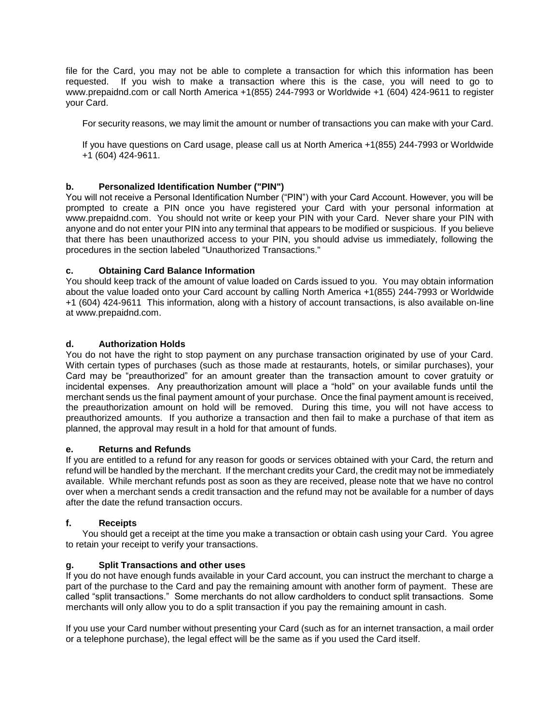file for the Card, you may not be able to complete a transaction for which this information has been requested. If you wish to make a transaction where this is the case, you will need to go to www.prepaidnd.com or call North America +1(855) 244-7993 or Worldwide +1 (604) 424-9611 to register your Card.

For security reasons, we may limit the amount or number of transactions you can make with your Card.

If you have questions on Card usage, please call us at North America +1(855) 244-7993 or Worldwide +1 (604) 424-9611.

## **b. Personalized Identification Number ("PIN")**

You will not receive a Personal Identification Number ("PIN") with your Card Account. However, you will be prompted to create a PIN once you have registered your Card with your personal information at www.prepaidnd.com. You should not write or keep your PIN with your Card. Never share your PIN with anyone and do not enter your PIN into any terminal that appears to be modified or suspicious. If you believe that there has been unauthorized access to your PIN, you should advise us immediately, following the procedures in the section labeled "Unauthorized Transactions."

### **c. Obtaining Card Balance Information**

You should keep track of the amount of value loaded on Cards issued to you. You may obtain information about the value loaded onto your Card account by calling North America +1(855) 244-7993 or Worldwide +1 (604) 424-9611 This information, along with a history of account transactions, is also available on-line at www.prepaidnd.com.

### **d. Authorization Holds**

You do not have the right to stop payment on any purchase transaction originated by use of your Card. With certain types of purchases (such as those made at restaurants, hotels, or similar purchases), your Card may be "preauthorized" for an amount greater than the transaction amount to cover gratuity or incidental expenses. Any preauthorization amount will place a "hold" on your available funds until the merchant sends us the final payment amount of your purchase. Once the final payment amount is received, the preauthorization amount on hold will be removed. During this time, you will not have access to preauthorized amounts. If you authorize a transaction and then fail to make a purchase of that item as planned, the approval may result in a hold for that amount of funds.

### **e. Returns and Refunds**

If you are entitled to a refund for any reason for goods or services obtained with your Card, the return and refund will be handled by the merchant. If the merchant credits your Card, the credit may not be immediately available. While merchant refunds post as soon as they are received, please note that we have no control over when a merchant sends a credit transaction and the refund may not be available for a number of days after the date the refund transaction occurs.

### **f. Receipts**

You should get a receipt at the time you make a transaction or obtain cash using your Card. You agree to retain your receipt to verify your transactions.

### **g. Split Transactions and other uses**

If you do not have enough funds available in your Card account, you can instruct the merchant to charge a part of the purchase to the Card and pay the remaining amount with another form of payment. These are called "split transactions." Some merchants do not allow cardholders to conduct split transactions. Some merchants will only allow you to do a split transaction if you pay the remaining amount in cash.

If you use your Card number without presenting your Card (such as for an internet transaction, a mail order or a telephone purchase), the legal effect will be the same as if you used the Card itself.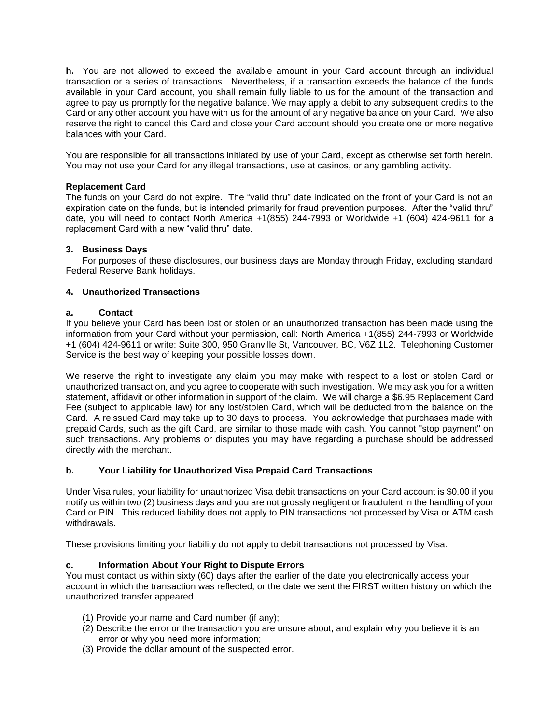**h.** You are not allowed to exceed the available amount in your Card account through an individual transaction or a series of transactions. Nevertheless, if a transaction exceeds the balance of the funds available in your Card account, you shall remain fully liable to us for the amount of the transaction and agree to pay us promptly for the negative balance. We may apply a debit to any subsequent credits to the Card or any other account you have with us for the amount of any negative balance on your Card. We also reserve the right to cancel this Card and close your Card account should you create one or more negative balances with your Card.

You are responsible for all transactions initiated by use of your Card, except as otherwise set forth herein. You may not use your Card for any illegal transactions, use at casinos, or any gambling activity.

### **Replacement Card**

The funds on your Card do not expire. The "valid thru" date indicated on the front of your Card is not an expiration date on the funds, but is intended primarily for fraud prevention purposes. After the "valid thru" date, you will need to contact North America +1(855) 244-7993 or Worldwide +1 (604) 424-9611 for a replacement Card with a new "valid thru" date.

### **3. Business Days**

For purposes of these disclosures, our business days are Monday through Friday, excluding standard Federal Reserve Bank holidays.

### **4. Unauthorized Transactions**

### **a. Contact**

If you believe your Card has been lost or stolen or an unauthorized transaction has been made using the information from your Card without your permission, call: North America +1(855) 244-7993 or Worldwide +1 (604) 424-9611 or write: Suite 300, 950 Granville St, Vancouver, BC, V6Z 1L2. Telephoning Customer Service is the best way of keeping your possible losses down.

We reserve the right to investigate any claim you may make with respect to a lost or stolen Card or unauthorized transaction, and you agree to cooperate with such investigation. We may ask you for a written statement, affidavit or other information in support of the claim. We will charge a \$6.95 Replacement Card Fee (subject to applicable law) for any lost/stolen Card, which will be deducted from the balance on the Card. A reissued Card may take up to 30 days to process. You acknowledge that purchases made with prepaid Cards, such as the gift Card, are similar to those made with cash. You cannot "stop payment" on such transactions. Any problems or disputes you may have regarding a purchase should be addressed directly with the merchant.

## **b. Your Liability for Unauthorized Visa Prepaid Card Transactions**

Under Visa rules, your liability for unauthorized Visa debit transactions on your Card account is \$0.00 if you notify us within two (2) business days and you are not grossly negligent or fraudulent in the handling of your Card or PIN. This reduced liability does not apply to PIN transactions not processed by Visa or ATM cash withdrawals.

These provisions limiting your liability do not apply to debit transactions not processed by Visa.

## **c. Information About Your Right to Dispute Errors**

You must contact us within sixty (60) days after the earlier of the date you electronically access your account in which the transaction was reflected, or the date we sent the FIRST written history on which the unauthorized transfer appeared.

- (1) Provide your name and Card number (if any);
- (2) Describe the error or the transaction you are unsure about, and explain why you believe it is an error or why you need more information;
- (3) Provide the dollar amount of the suspected error.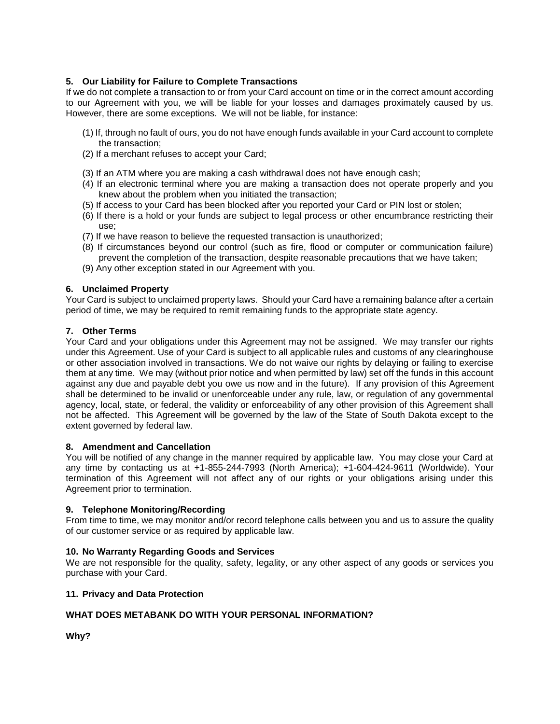## **5. Our Liability for Failure to Complete Transactions**

If we do not complete a transaction to or from your Card account on time or in the correct amount according to our Agreement with you, we will be liable for your losses and damages proximately caused by us. However, there are some exceptions. We will not be liable, for instance:

- (1) If, through no fault of ours, you do not have enough funds available in your Card account to complete the transaction;
- (2) If a merchant refuses to accept your Card;
- (3) If an ATM where you are making a cash withdrawal does not have enough cash;
- (4) If an electronic terminal where you are making a transaction does not operate properly and you knew about the problem when you initiated the transaction;
- (5) If access to your Card has been blocked after you reported your Card or PIN lost or stolen;
- (6) If there is a hold or your funds are subject to legal process or other encumbrance restricting their use;
- (7) If we have reason to believe the requested transaction is unauthorized;
- (8) If circumstances beyond our control (such as fire, flood or computer or communication failure) prevent the completion of the transaction, despite reasonable precautions that we have taken;
- (9) Any other exception stated in our Agreement with you.

### **6. Unclaimed Property**

Your Card is subject to unclaimed property laws. Should your Card have a remaining balance after a certain period of time, we may be required to remit remaining funds to the appropriate state agency.

### **7. Other Terms**

Your Card and your obligations under this Agreement may not be assigned. We may transfer our rights under this Agreement. Use of your Card is subject to all applicable rules and customs of any clearinghouse or other association involved in transactions. We do not waive our rights by delaying or failing to exercise them at any time. We may (without prior notice and when permitted by law) set off the funds in this account against any due and payable debt you owe us now and in the future). If any provision of this Agreement shall be determined to be invalid or unenforceable under any rule, law, or regulation of any governmental agency, local, state, or federal, the validity or enforceability of any other provision of this Agreement shall not be affected. This Agreement will be governed by the law of the State of South Dakota except to the extent governed by federal law.

### **8. Amendment and Cancellation**

You will be notified of any change in the manner required by applicable law. You may close your Card at any time by contacting us at +1-855-244-7993 (North America); +1-604-424-9611 (Worldwide). Your termination of this Agreement will not affect any of our rights or your obligations arising under this Agreement prior to termination.

### **9. Telephone Monitoring/Recording**

From time to time, we may monitor and/or record telephone calls between you and us to assure the quality of our customer service or as required by applicable law.

### **10. No Warranty Regarding Goods and Services**

We are not responsible for the quality, safety, legality, or any other aspect of any goods or services you purchase with your Card.

### **11. Privacy and Data Protection**

## **WHAT DOES METABANK DO WITH YOUR PERSONAL INFORMATION?**

**Why?**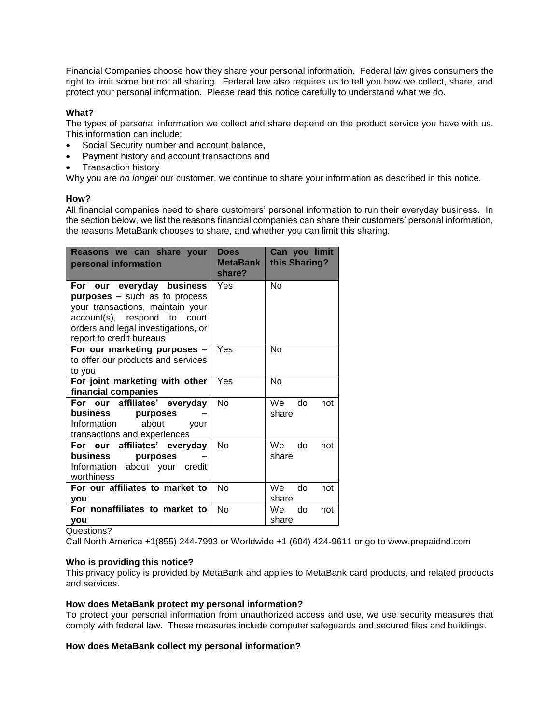Financial Companies choose how they share your personal information. Federal law gives consumers the right to limit some but not all sharing. Federal law also requires us to tell you how we collect, share, and protect your personal information. Please read this notice carefully to understand what we do.

## **What?**

The types of personal information we collect and share depend on the product service you have with us. This information can include:

- Social Security number and account balance,
- Payment history and account transactions and
- Transaction history

Why you are *no longer* our customer, we continue to share your information as described in this notice.

### **How?**

All financial companies need to share customers' personal information to run their everyday business. In the section below, we list the reasons financial companies can share their customers' personal information, the reasons MetaBank chooses to share, and whether you can limit this sharing.

| Reasons we can share your<br>personal information                                                                                                                                                        | <b>Does</b><br><b>MetaBank</b><br>share? | Can you limit<br>this Sharing? |
|----------------------------------------------------------------------------------------------------------------------------------------------------------------------------------------------------------|------------------------------------------|--------------------------------|
| For our everyday business<br><b>purposes -</b> such as to process<br>your transactions, maintain your<br>account(s), respond to court<br>orders and legal investigations, or<br>report to credit bureaus | Yes                                      | No                             |
| For our marketing purposes -<br>to offer our products and services<br>to you                                                                                                                             | Yes                                      | <b>No</b>                      |
| For joint marketing with other<br>financial companies                                                                                                                                                    | Yes                                      | No                             |
| For our affiliates' everyday<br>business<br>purposes<br>Information<br>about<br>your<br>transactions and experiences                                                                                     | N <sub>o</sub>                           | do<br>We<br>not<br>share       |
| For our affiliates' everyday<br>business<br>purposes<br>Information about your credit<br>worthiness                                                                                                      | N <sub>o</sub>                           | We<br>do<br>not<br>share       |
| For our affiliates to market to<br><b>vou</b>                                                                                                                                                            | <b>No</b>                                | We<br>do<br>not<br>share       |
| For nonaffiliates to market to<br><b>vou</b>                                                                                                                                                             | <b>No</b>                                | do<br>We<br>not<br>share       |

Questions?

Call North America +1(855) 244-7993 or Worldwide +1 (604) 424-9611 or go to www.prepaidnd.com

### **Who is providing this notice?**

This privacy policy is provided by MetaBank and applies to MetaBank card products, and related products and services.

### **How does MetaBank protect my personal information?**

To protect your personal information from unauthorized access and use, we use security measures that comply with federal law. These measures include computer safeguards and secured files and buildings.

### **How does MetaBank collect my personal information?**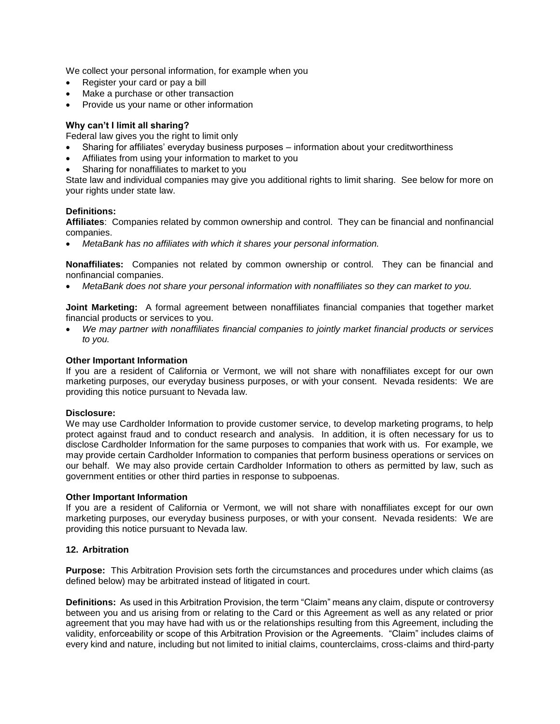We collect your personal information, for example when you

- Register your card or pay a bill
- Make a purchase or other transaction
- Provide us your name or other information

## **Why can't I limit all sharing?**

Federal law gives you the right to limit only

- Sharing for affiliates' everyday business purposes information about your creditworthiness
- Affiliates from using your information to market to you
- Sharing for nonaffiliates to market to you

State law and individual companies may give you additional rights to limit sharing. See below for more on your rights under state law.

### **Definitions:**

**Affiliates**: Companies related by common ownership and control. They can be financial and nonfinancial companies.

*MetaBank has no affiliates with which it shares your personal information.*

**Nonaffiliates:** Companies not related by common ownership or control. They can be financial and nonfinancial companies.

*MetaBank does not share your personal information with nonaffiliates so they can market to you.*

**Joint Marketing:** A formal agreement between nonaffiliates financial companies that together market financial products or services to you.

 *We may partner with nonaffiliates financial companies to jointly market financial products or services to you.*

#### **Other Important Information**

If you are a resident of California or Vermont, we will not share with nonaffiliates except for our own marketing purposes, our everyday business purposes, or with your consent. Nevada residents: We are providing this notice pursuant to Nevada law.

### **Disclosure:**

We may use Cardholder Information to provide customer service, to develop marketing programs, to help protect against fraud and to conduct research and analysis. In addition, it is often necessary for us to disclose Cardholder Information for the same purposes to companies that work with us. For example, we may provide certain Cardholder Information to companies that perform business operations or services on our behalf. We may also provide certain Cardholder Information to others as permitted by law, such as government entities or other third parties in response to subpoenas.

### **Other Important Information**

If you are a resident of California or Vermont, we will not share with nonaffiliates except for our own marketing purposes, our everyday business purposes, or with your consent. Nevada residents: We are providing this notice pursuant to Nevada law.

### **12. Arbitration**

**Purpose:** This Arbitration Provision sets forth the circumstances and procedures under which claims (as defined below) may be arbitrated instead of litigated in court.

**Definitions:** As used in this Arbitration Provision, the term "Claim" means any claim, dispute or controversy between you and us arising from or relating to the Card or this Agreement as well as any related or prior agreement that you may have had with us or the relationships resulting from this Agreement, including the validity, enforceability or scope of this Arbitration Provision or the Agreements. "Claim" includes claims of every kind and nature, including but not limited to initial claims, counterclaims, cross-claims and third-party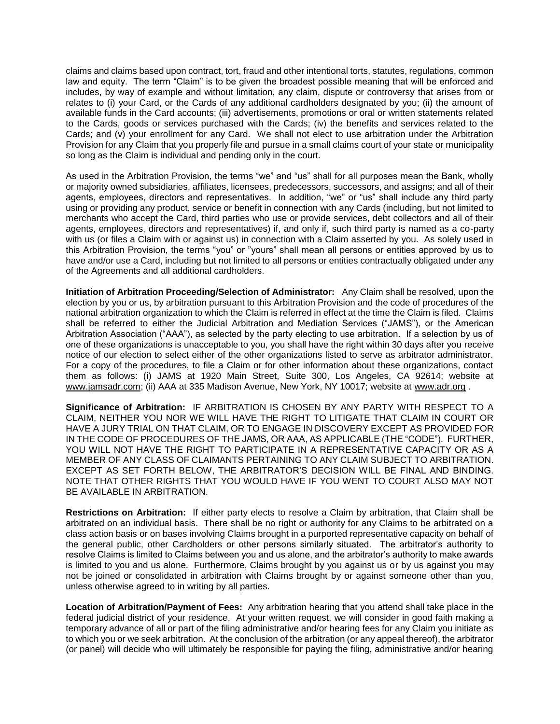claims and claims based upon contract, tort, fraud and other intentional torts, statutes, regulations, common law and equity. The term "Claim" is to be given the broadest possible meaning that will be enforced and includes, by way of example and without limitation, any claim, dispute or controversy that arises from or relates to (i) your Card, or the Cards of any additional cardholders designated by you; (ii) the amount of available funds in the Card accounts; (iii) advertisements, promotions or oral or written statements related to the Cards, goods or services purchased with the Cards; (iv) the benefits and services related to the Cards; and (v) your enrollment for any Card. We shall not elect to use arbitration under the Arbitration Provision for any Claim that you properly file and pursue in a small claims court of your state or municipality so long as the Claim is individual and pending only in the court.

As used in the Arbitration Provision, the terms "we" and "us" shall for all purposes mean the Bank, wholly or majority owned subsidiaries, affiliates, licensees, predecessors, successors, and assigns; and all of their agents, employees, directors and representatives. In addition, "we" or "us" shall include any third party using or providing any product, service or benefit in connection with any Cards (including, but not limited to merchants who accept the Card, third parties who use or provide services, debt collectors and all of their agents, employees, directors and representatives) if, and only if, such third party is named as a co-party with us (or files a Claim with or against us) in connection with a Claim asserted by you. As solely used in this Arbitration Provision, the terms "you" or "yours" shall mean all persons or entities approved by us to have and/or use a Card, including but not limited to all persons or entities contractually obligated under any of the Agreements and all additional cardholders.

**Initiation of Arbitration Proceeding/Selection of Administrator:** Any Claim shall be resolved, upon the election by you or us, by arbitration pursuant to this Arbitration Provision and the code of procedures of the national arbitration organization to which the Claim is referred in effect at the time the Claim is filed. Claims shall be referred to either the Judicial Arbitration and Mediation Services ("JAMS"), or the American Arbitration Association ("AAA"), as selected by the party electing to use arbitration. If a selection by us of one of these organizations is unacceptable to you, you shall have the right within 30 days after you receive notice of our election to select either of the other organizations listed to serve as arbitrator administrator. For a copy of the procedures, to file a Claim or for other information about these organizations, contact them as follows: (i) JAMS at 1920 Main Street, Suite 300, Los Angeles, CA 92614; website at [www.jamsadr.com;](http://www.jamsadr.com/) (ii) AAA at 335 Madison Avenue, New York, NY 10017; website at [www.adr.org](http://www.adr.org/) .

**Significance of Arbitration:** IF ARBITRATION IS CHOSEN BY ANY PARTY WITH RESPECT TO A CLAIM, NEITHER YOU NOR WE WILL HAVE THE RIGHT TO LITIGATE THAT CLAIM IN COURT OR HAVE A JURY TRIAL ON THAT CLAIM, OR TO ENGAGE IN DISCOVERY EXCEPT AS PROVIDED FOR IN THE CODE OF PROCEDURES OF THE JAMS, OR AAA, AS APPLICABLE (THE "CODE"). FURTHER, YOU WILL NOT HAVE THE RIGHT TO PARTICIPATE IN A REPRESENTATIVE CAPACITY OR AS A MEMBER OF ANY CLASS OF CLAIMANTS PERTAINING TO ANY CLAIM SUBJECT TO ARBITRATION. EXCEPT AS SET FORTH BELOW, THE ARBITRATOR'S DECISION WILL BE FINAL AND BINDING. NOTE THAT OTHER RIGHTS THAT YOU WOULD HAVE IF YOU WENT TO COURT ALSO MAY NOT BE AVAILABLE IN ARBITRATION.

**Restrictions on Arbitration:** If either party elects to resolve a Claim by arbitration, that Claim shall be arbitrated on an individual basis. There shall be no right or authority for any Claims to be arbitrated on a class action basis or on bases involving Claims brought in a purported representative capacity on behalf of the general public, other Cardholders or other persons similarly situated. The arbitrator's authority to resolve Claims is limited to Claims between you and us alone, and the arbitrator's authority to make awards is limited to you and us alone. Furthermore, Claims brought by you against us or by us against you may not be joined or consolidated in arbitration with Claims brought by or against someone other than you, unless otherwise agreed to in writing by all parties.

**Location of Arbitration/Payment of Fees:** Any arbitration hearing that you attend shall take place in the federal judicial district of your residence. At your written request, we will consider in good faith making a temporary advance of all or part of the filing administrative and/or hearing fees for any Claim you initiate as to which you or we seek arbitration. At the conclusion of the arbitration (or any appeal thereof), the arbitrator (or panel) will decide who will ultimately be responsible for paying the filing, administrative and/or hearing